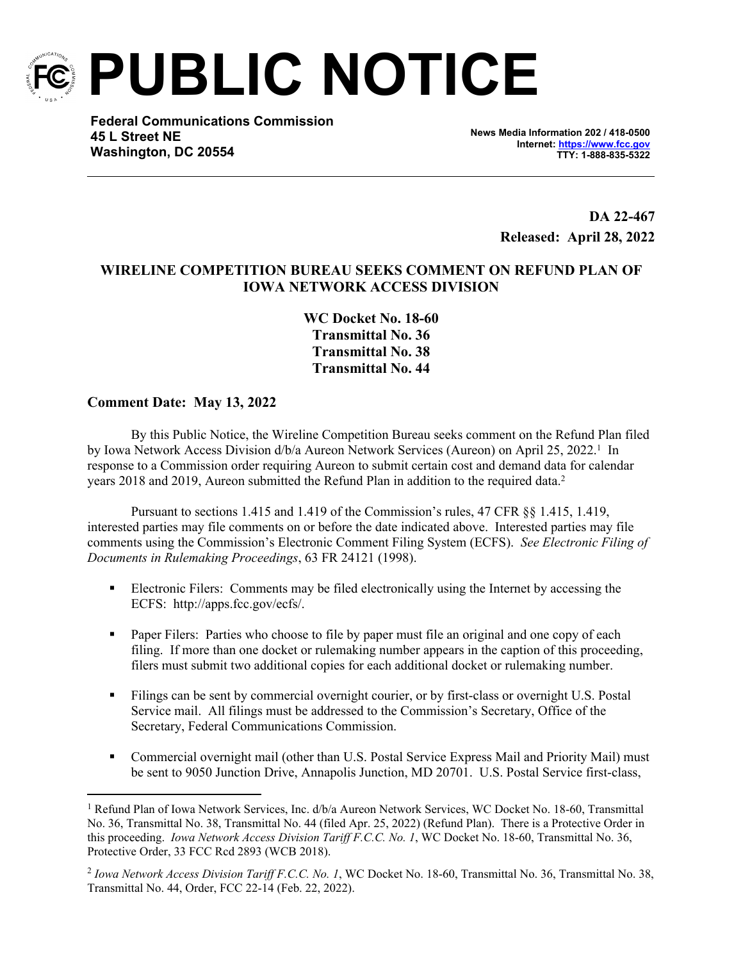

**PUBLIC NOTICE**

**Federal Communications Commission 45 L Street NE Washington, DC 20554**

**News Media Information 202 / 418-0500 Internet:<https://www.fcc.gov> TTY: 1-888-835-5322**

> **DA 22-467 Released: April 28, 2022**

## **WIRELINE COMPETITION BUREAU SEEKS COMMENT ON REFUND PLAN OF IOWA NETWORK ACCESS DIVISION**

**WC Docket No. 18-60 Transmittal No. 36 Transmittal No. 38 Transmittal No. 44**

## **Comment Date: May 13, 2022**

By this Public Notice, the Wireline Competition Bureau seeks comment on the Refund Plan filed by Iowa Network Access Division d/b/a Aureon Network Services (Aureon) on April 25, 2022.<sup>1</sup> In response to a Commission order requiring Aureon to submit certain cost and demand data for calendar years 2018 and 2019, Aureon submitted the Refund Plan in addition to the required data.<sup>2</sup>

Pursuant to sections 1.415 and 1.419 of the Commission's rules, 47 CFR §§ 1.415, 1.419, interested parties may file comments on or before the date indicated above. Interested parties may file comments using the Commission's Electronic Comment Filing System (ECFS). *See Electronic Filing of Documents in Rulemaking Proceedings*, 63 FR 24121 (1998).

- Electronic Filers: Comments may be filed electronically using the Internet by accessing the ECFS: http://apps.fcc.gov/ecfs/.
- **Paper Filers:** Parties who choose to file by paper must file an original and one copy of each filing. If more than one docket or rulemaking number appears in the caption of this proceeding, filers must submit two additional copies for each additional docket or rulemaking number.
- Filings can be sent by commercial overnight courier, or by first-class or overnight U.S. Postal Service mail. All filings must be addressed to the Commission's Secretary, Office of the Secretary, Federal Communications Commission.
- Commercial overnight mail (other than U.S. Postal Service Express Mail and Priority Mail) must be sent to 9050 Junction Drive, Annapolis Junction, MD 20701. U.S. Postal Service first-class,

<sup>&</sup>lt;sup>1</sup> Refund Plan of Iowa Network Services, Inc. d/b/a Aureon Network Services, WC Docket No. 18-60, Transmittal No. 36, Transmittal No. 38, Transmittal No. 44 (filed Apr. 25, 2022) (Refund Plan). There is a Protective Order in this proceeding. *Iowa Network Access Division Tariff F.C.C. No. 1*, WC Docket No. 18-60, Transmittal No. 36, Protective Order, 33 FCC Rcd 2893 (WCB 2018).

<sup>2</sup> *Iowa Network Access Division Tariff F.C.C. No. 1*, WC Docket No. 18-60, Transmittal No. 36, Transmittal No. 38, Transmittal No. 44, Order, FCC 22-14 (Feb. 22, 2022).